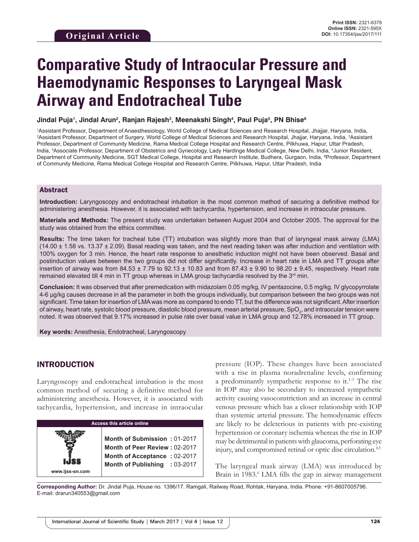# **Comparative Study of Intraocular Pressure and Haemodynamic Responses to Laryngeal Mask Airway and Endotracheal Tube**

Jindal Puja<sup>ı</sup>, Jindal Arun<sup>2</sup>, Ranjan Rajesh<sup>3</sup>, Meenakshi Singh<sup>4</sup>, Paul Puja<sup>s</sup>, PN Bhise<sup>s</sup>

1 Assistant Professor, Department of Anaesthesiology, World College of Medical Sciences and Research Hospital, Jhajjar, Haryana, India, <sup>2</sup>Assistant Professor, Department of Surgery, World College of Medical Sciences and Research Hospital, Jhajjar, Haryana, India, <sup>3</sup>Assistant Professor, Department of Community Medicine, Rama Medical College Hospital and Research Centre, Pilkhuwa, Hapur, Uttar Pradesh, India, <sup>4</sup>Associate Professor, Department of Obstetrics and Gynecology, Lady Hardinge Medical College, New Delhi, India, <sup>5</sup>Junior Resident, Department of Community Medicine, SGT Medical College, Hospital and Research Institute, Budhera, Gurgaon, India, 6 Professor, Department of Community Medicine, Rama Medical College Hospital and Research Centre, Pilkhuwa, Hapur, Uttar Pradesh, India

#### Abstract

**Introduction:** Laryngoscopy and endotracheal intubation is the most common method of securing a definitive method for administering anesthesia. However, it is associated with tachycardia, hypertension, and increase in intraocular pressure.

**Materials and Methods:** The present study was undertaken between August 2004 and October 2005. The approval for the study was obtained from the ethics committee.

**Results:** The time taken for tracheal tube (TT) intubation was slightly more than that of laryngeal mask airway (LMA)  $(14.00 \pm 1.58 \text{ vs. } 13.37 \pm 2.09)$ . Basal reading was taken, and the next reading taken was after induction and ventilation with 100% oxygen for 3 min. Hence, the heart rate response to anesthetic induction might not have been observed. Basal and postinduction values between the two groups did not differ significantly. Increase in heart rate in LMA and TT groups after insertion of airway was from  $84.53 \pm 7.79$  to  $92.13 \pm 10.83$  and from  $87.43 \pm 9.90$  to  $98.20 \pm 9.45$ , respectively. Heart rate remained elevated till 4 min in TT group whereas in LMA group tachycardia resolved by the  $3<sup>rd</sup>$  min.

**Conclusion:** It was observed that after premedication with midazolam 0.05 mg/kg, IV pentazocine, 0.5 mg/kg. IV glycopyrrolate 4-6 µg/kg causes decrease in all the parameter in both the groups individually, but comparison between the two groups was not significant. Time taken for insertion of LMA was more as compared to endo TT, but the difference was not significant. After insertion of airway, heart rate, systolic blood pressure, diastolic blood pressure, mean arterial pressure, SpO $_{_2}$ , and intraocular tension were noted. It was observed that 9.17% increased in pulse rate over basal value in LMA group and 12.78% increased in TT group.

**Key words:** Anesthesia, Endotracheal, Laryngoscopy

## INTRODUCTION

**www.ijss-sn.com**

Laryngoscopy and endotracheal intubation is the most common method of securing a definitive method for administering anesthesia. However, it is associated with tachycardia, hypertension, and increase in intraocular

#### **Access this article online**

**Month of Submission :** 01-2017 **Month of Peer Review :** 02-2017 **Month of Acceptance :** 02-2017 **Month of Publishing :** 03-2017 pressure (IOP). These changes have been associated with a rise in plasma noradrenaline levels, confirming a predominantly sympathetic response to it.1-3 The rise in IOP may also be secondary to increased sympathetic activity causing vasoconstriction and an increase in central venous pressure which has a closer relationship with IOP than systemic arterial pressure. The hemodynamic effects are likely to be deleterious in patients with pre-existing hypertension or coronary ischemia whereas the rise in IOP may be detrimental in patients with glaucoma, perforating eye injury, and compromised retinal or optic disc circulation.<sup>4,5</sup>

The laryngeal mask airway (LMA) was introduced by Brain in 1983.<sup>6</sup> LMA fills the gap in airway management

**Corresponding Author:** Dr. Jindal Puja, House no. 1396/17. Ramgali, Railway Road, Rohtak, Haryana, India. Phone: +91-8607005796. E-mail: drarun340553@gmail.com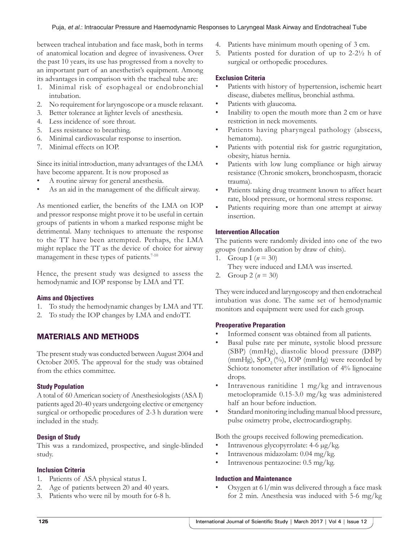between tracheal intubation and face mask, both in terms of anatomical location and degree of invasiveness. Over the past 10 years, its use has progressed from a novelty to an important part of an anesthetist's equipment. Among its advantages in comparison with the tracheal tube are:

- 1. Minimal risk of esophageal or endobronchial intubation.
- 2. No requirement for laryngoscope or a muscle relaxant.
- 3. Better tolerance at lighter levels of anesthesia.
- 4. Less incidence of sore throat.
- 5. Less resistance to breathing.
- 6. Minimal cardiovascular response to insertion.
- 7. Minimal effects on IOP.

Since its initial introduction, many advantages of the LMA have become apparent. It is now proposed as

- A routine airway for general anesthesia.
- As an aid in the management of the difficult airway.

As mentioned earlier, the benefits of the LMA on IOP and pressor response might prove it to be useful in certain groups of patients in whom a marked response might be detrimental. Many techniques to attenuate the response to the TT have been attempted. Perhaps, the LMA might replace the TT as the device of choice for airway management in these types of patients.<sup>7-10</sup>

Hence, the present study was designed to assess the hemodynamic and IOP response by LMA and TT.

#### **Aims and Objectives**

- 1. To study the hemodynamic changes by LMA and TT.
- 2. To study the IOP changes by LMA and endoTT.

## MATERIALS AND METHODS

The present study was conducted between August 2004 and October 2005. The approval for the study was obtained from the ethics committee.

#### **Study Population**

A total of 60 American society of Anesthesiologists(ASAI) patients aged 20-40 years undergoing elective or emergency surgical or orthopedic procedures of 2-3 h duration were included in the study.

#### **Design of Study**

This was a randomized, prospective, and single-blinded study.

#### **Inclusion Criteria**

- 1. Patients of ASA physical status I.
- 2. Age of patients between 20 and 40 years.
- 3. Patients who were nil by mouth for 6-8 h.
- 4. Patients have minimum mouth opening of 3 cm.
- 5. Patients posted for duration of up to 2-2½ h of surgical or orthopedic procedures.

#### **Exclusion Criteria**

- Patients with history of hypertension, ischemic heart disease, diabetes mellitus, bronchial asthma.
- Patients with glaucoma.
- Inability to open the mouth more than 2 cm or have restriction in neck movements.
- Patients having pharyngeal pathology (abscess, hematoma).
- Patients with potential risk for gastric regurgitation, obesity, hiatus hernia.
- Patients with low lung compliance or high airway resistance (Chronic smokers, bronchospasm, thoracic trauma).
- Patients taking drug treatment known to affect heart rate, blood pressure, or hormonal stress response.
- Patients requiring more than one attempt at airway insertion.

#### **Intervention Allocation**

The patients were randomly divided into one of the two groups (random allocation by draw of chits).

- 1. Group  $I(n = 30)$
- They were induced and LMA was inserted.
- 2. Group 2 ( $n = 30$ )

They were induced and laryngoscopy and then endotracheal intubation was done. The same set of hemodynamic monitors and equipment were used for each group.

#### **Preoperative Preparation**

- Informed consent was obtained from all patients.
- Basal pulse rate per minute, systolic blood pressure (SBP) (mmHg), diastolic blood pressure (DBP) (mmHg),  $SpO<sub>2</sub>(\%)$ , IOP (mmHg) were recorded by Schiotz tonometer after instillation of 4% lignocaine drops.
- Intravenous ranitidine 1 mg/kg and intravenous metoclopramide 0.15-3.0 mg/kg was administered half an hour before induction.
- Standard monitoring including manual blood pressure, pulse oximetry probe, electrocardiography.

Both the groups received following premedication.

- Intravenous glycopyrrolate: 4-6 µg/kg.
- Intravenous midazolam: 0.04 mg/kg.
- Intravenous pentazocine: 0.5 mg/kg.

#### **Induction and Maintenance**

Oxygen at  $6$  l/min was delivered through a face mask for 2 min. Anesthesia was induced with 5-6 mg/kg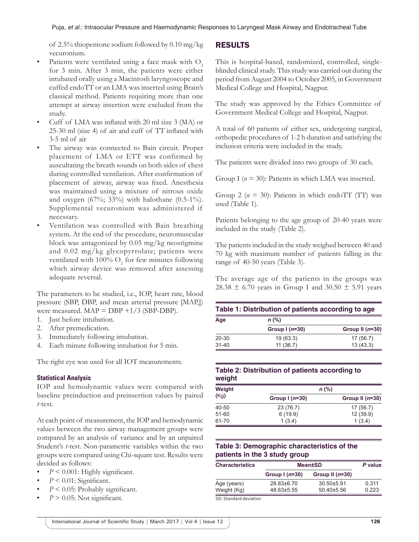of 2.5% thiopentone sodium followed by 0.10 mg/kg vecuronium.

- Patients were ventilated using a face mask with  $O<sub>2</sub>$ for 3 min. After 3 min, the patients were either intubated orally using a Macintosh laryngoscope and cuffed endoTT or an LMA was inserted using Brain's classical method. Patients requiring more than one attempt at airway insertion were excluded from the study.
- Cuff of LMA was inflated with 20 ml size 3 (MA) or 25-30 ml (size 4) of air and cuff of TT inflated with 3-5 ml of air
- The airway was connected to Bain circuit. Proper placement of LMA or ETT was confirmed by auscultating the breath sounds on both sides of chest during controlled ventilation. After confirmation of placement of airway, airway was fixed. Anesthesia was maintained using a mixture of nitrous oxide and oxygen (67%; 33%) with halothane (0.5-1%). Supplemental vecuronium was administered if necessary.
- Ventilation was controlled with Bain breathing system. At the end of the procedure, neuromuscular block was antagonized by 0.05 mg/kg neostigmine and 0.02 mg/kg glycopyrrolate; patients were ventilated with 100%  $O_2$  for few minutes following which airway device was removed after assessing adequate reversal.

The parameters to be studied, i.e., IOP, heart rate, blood pressure (SBP, DBP, and mean arterial pressure [MAP,]) were measured.  $MAP = DBP + 1/3$  (SBP-DBP).

- 1. Just before intubation.
- 2. After premedication.
- 3. Immediately following intubation.
- 4. Each minute following intubation for 5 min.

The right eye was used for all IOT measurements.

#### **Statistical Analysis**

IOP and hemodynamic values were compared with baseline preinduction and preinsertion values by paired *t*-test.

At each point of measurement, the IOP and hemodynamic values between the two airway management groups were compared by an analysis of variance and by an unpaired Student's *t*-test. Non-parametric variables within the two groups were compared using Chi-square test. Results were decided as follows:

- $P \leq 0.001$ : Highly significant.
- $P < 0.01$ : Significant.
- $P < 0.05$ : Probably significant.
- $P > 0.05$ : Not significant.

## RESULTS

This is hospital-based, randomized, controlled, singleblinded clinical study. This study was carried out during the period from August 2004 to October 2005, in Government Medical College and Hospital, Nagpur.

The study was approved by the Ethics Committee of Government Medical College and Hospital, Nagpur.

A total of 60 patients of either sex, undergoing surgical, orthopedic procedures of 1-2 h duration and satisfying the inclusion criteria were included in the study.

The patients were divided into two groups of 30 each.

Group I ( $n = 30$ ): Patients in which LMA was inserted.

Group 2 ( $n = 30$ ): Patients in which endoTT (TT) was used (Table 1).

Patients belonging to the age group of 20-40 years were included in the study (Table 2).

The patients included in the study weighed between 40 and 70 kg with maximum number of patients falling in the range of 40-50 years (Table 3).

The average age of the patients in the groups was 28.38  $\pm$  6.70 years in Group I and 30.50  $\pm$  5.91 years

| Table 1: Distribution of patients according to age |                 |                   |  |
|----------------------------------------------------|-----------------|-------------------|--|
| Age                                                | $n$ (%)         |                   |  |
|                                                    | Group $1(n=30)$ | Group II $(n=30)$ |  |
| $20 - 30$                                          | 19(63.3)        | 17 (56.7)         |  |
| $31 - 40$                                          | 11(36.7)        | 13(43.3)          |  |

## **Table 2: Distribution of patients according to weight**

| Weight |                | $n$ (%)           |
|--------|----------------|-------------------|
| (Kg)   | Group $(n=30)$ | Group II $(n=30)$ |
| 40-50  | 23 (76.7)      | 17 (56.7)         |
| 51-60  | 6(19.9)        | 12(39.9)          |
| 61-70  | 1(3.4)         | 1(3.4)            |

## **Table 3: Demographic characteristics of the patients in the 3 study group**

| <b>Characteristics</b>                                  | <b>Mean±SD</b> | P value           |       |
|---------------------------------------------------------|----------------|-------------------|-------|
|                                                         | Group $(n=30)$ | Group II $(n=30)$ |       |
| Age (years)                                             | 28.83±6.70     | $30.50 \pm 5.91$  | 0.311 |
| Weight (Kg)                                             | 48.63±5.55     | $50.40\pm5.56$    | 0.223 |
| $\sim$ $\sim$ $\sim$ $\sim$ $\sim$ $\sim$ $\sim$ $\sim$ |                |                   |       |

SD: Standard deviation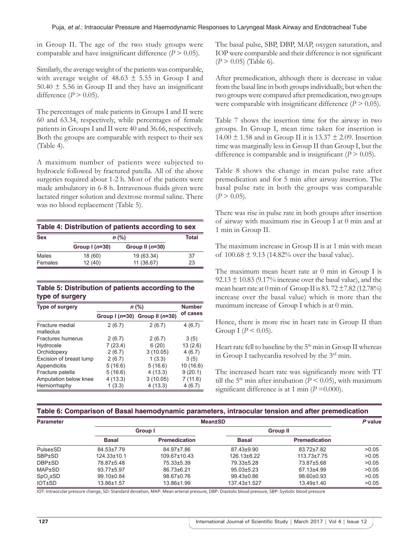in Group II. The age of the two study groups were comparable and have insignificant difference  $(P > 0.05)$ .

Similarly, the average weight of the patients was comparable, with average weight of  $48.63 \pm 5.55$  in Group I and 50.40  $\pm$  5.56 in Group II and they have an insignificant difference  $(P > 0.05)$ .

The percentages of male patients in Groups I and II were 60 and 63.34, respectively, while percentages of female patients in Groups I and II were 40 and 36.66, respectively. Both the groups are comparable with respect to their sex (Table 4).

A maximum number of patients were subjected to hydrocele followed by fractured patella. All of the above surgeries required about 1-2 h. Most of the patients were made ambulatory in 6-8 h. Intravenous fluids given were lactated ringer solution and dextrose normal saline. There was no blood replacement (Table 5).

| Table 4: Distribution of patients according to sex |                 |                   |              |  |
|----------------------------------------------------|-----------------|-------------------|--------------|--|
| <b>Sex</b>                                         | $n$ (%)         |                   | <b>Total</b> |  |
|                                                    | Group $1(n=30)$ | Group II $(n=30)$ |              |  |
| Males                                              | 18 (60)         | 19 (63.34)        | 37           |  |
| Females                                            | 12(40)          | 11(36.67)         | 23           |  |

## **Table 5: Distribution of patients according to the type of surgery**

| <b>Type of surgery</b>       | $n$ (%) | <b>Number</b>                      |          |
|------------------------------|---------|------------------------------------|----------|
|                              |         | Group I $(n=30)$ Group II $(n=30)$ | of cases |
| Fracture medial<br>malleolus | 2(6.7)  | 2(6.7)                             | 4(6.7)   |
| <b>Fractures humerus</b>     | 2(6.7)  | 2(6.7)                             | 3(5)     |
| Hydrocele                    | 7(23.4) | 6(20)                              | 13(2.6)  |
| Orchidopexy                  | 2(6.7)  | 3(10.05)                           | 4(6.7)   |
| Excision of breast lump      | 2(6.7)  | 1(3.3)                             | 3(5)     |
| Appendicitis                 | 5(16.6) | 5(16.6)                            | 10(16.6) |
| Fracture patella             | 5(16.6) | 4(13.3)                            | 9(20.1)  |
| Amputation below knee        | 4(13.3) | 3(10.05)                           | 7(11.6)  |
| Herniorrhaphy                | 1(3.3)  | 4(13.3)                            | 4(6.7)   |

The basal pulse, SBP, DBP, MAP, oxygen saturation, and IOP were comparable and their difference is not significant (*P* > 0.05) (Table 6).

After premedication, although there is decrease in value from the basal line in both groups individually, but when the two groups were compared after premedication, two groups were comparable with insignificant difference  $(P > 0.05)$ .

Table 7 shows the insertion time for the airway in two groups. In Group I, mean time taken for insertion is 14.00  $\pm$  1.58 and in Group II it is 13.37  $\pm$  2.09. Insertion time was marginally less in Group II than Group I, but the difference is comparable and is insignificant  $(P > 0.05)$ .

Table 8 shows the change in mean pulse rate after premedication and for 5 min after airway insertion. The basal pulse rate in both the groups was comparable  $(P > 0.05)$ .

There was rise in pulse rate in both groups after insertion of airway with maximum rise in Group I at 0 min and at 1 min in Group II.

The maximum increase in Group II is at 1 min with mean of  $100.68 \pm 9.13$  (14.82% over the basal value).

The maximum mean heart rate at 0 min in Group I is  $92.13 \pm 10.83$  (9.17% increase over the basal value), and the mean heart rate at 0 min of Group II is  $83.72 \pm 7.82$  (12.78%) increase over the basal value) which is more than the maximum increase of Group I which is at 0 min.

Hence, there is more rise in heart rate in Group II than Group I ( $P < 0.05$ ).

Heart rate fell to baseline by the  $5<sup>th</sup>$  min in Group II whereas in Group I tachycardia resolved by the 3rd min.

The increased heart rate was significantly more with TT till the 5<sup>th</sup> min after intubation ( $P \le 0.05$ ), with maximum significant difference is at 1 min  $(P=0.000)$ .

## **Table 6: Comparison of Basal haemodynamic parameters, intraocular tension and after premedication**

| <b>Parameter</b> |                   |                      | <b>Mean±SD</b>   |                      | P value |
|------------------|-------------------|----------------------|------------------|----------------------|---------|
|                  |                   | Group I              |                  | <b>Group II</b>      |         |
|                  | <b>Basal</b>      | <b>Premedication</b> | <b>Basal</b>     | <b>Premedication</b> |         |
| Pulse±SD         | 84.53±7.79        | 84.97±7.86           | 87.43±9.90       | 83.72±7.82           | >0.05   |
| <b>SBP±SD</b>    | $124.33 \pm 10.1$ | $109.67\pm10.43$     | 126.13±8.22      | $113.73 \pm 7.75$    | >0.05   |
| <b>DBP±SD</b>    | 78.87±5.48        | 75.33±5.39           | 79.33±5.28       | 73.87±5.68           | >0.05   |
| <b>MAP±SD</b>    | 93.77±5.97        | 86.73±6.21           | $95.03 \pm 5.23$ | 87.13±4.99           | >0.05   |
| $SpO2 \pm SD$    | 99.10±0.84        | $98.67 \pm 0.76$     | $99.43{\pm}0.86$ | $98.60 \pm 0.93$     | >0.05   |
| <b>IOT±SD</b>    | 13.86±1.57        | 13.86±1.99           | 137.43±1.527     | 13.49±1.40           | >0.05   |

IOT: Intraocular pressure change, SD: Standard deviation, MAP: Mean arterial pressure, DBP: Diastolic blood pressure, SBP: Systolic blood pressure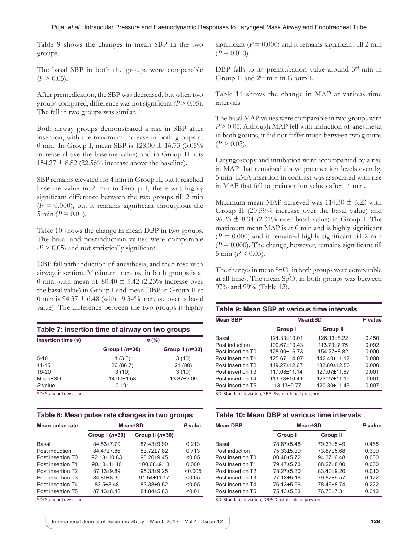Table 9 shows the changes in mean SBP in the two groups.

The basal SBP in both the groups were comparable  $(P > 0.05)$ .

After premedication, the SBP was decreased, but when two groups compared, difference was not significant (*P* > 0.05). The fall in two groups was similar.

Both airway groups demonstrated a rise in SBP after insertion, with the maximum increase in both groups at 0 min. In Group I, mean SBP is  $128.00 \pm 16.73$  (3.05%) increase above the baseline value) and in Group II it is 154.27  $\pm$  8.82 (22.56% increase above the baseline).

SBP remains elevated for 4 min in Group II, but it reached baseline value in 2 min in Group I; there was highly significant difference between the two groups till 2 min  $(P = 0.000)$ , but it remains significant throughout the 5 min ( $P = 0.01$ ).

Table 10 shows the change in mean DBP in two groups. The basal and postinduction values were comparable  $(P > 0.05)$  and not statistically significant.

DBP fall with induction of anesthesia, and then rose with airway insertion. Maximum increase in both groups is at 0 min, with mean of  $80.40 \pm 5.42$  (2.23% increase over the basal value) in Group I and mean DBP in Group II at 0 min is 94.37  $\pm$  6.48 (with 19.34% increase over is basal value). The difference between the two groups is highly

| Table 7: Insertion time of airway on two groups |                 |                   |  |  |
|-------------------------------------------------|-----------------|-------------------|--|--|
| Insertion time (s)                              |                 | $n$ (%)           |  |  |
|                                                 | Group $1(n=30)$ | Group II $(n=30)$ |  |  |
| $5 - 10$                                        | 1(3.3)          | 3(10)             |  |  |
| $11 - 15$                                       | 26 (86.7)       | 24 (80)           |  |  |
| $16 - 20$                                       | 3(10)           | 3(10)             |  |  |
| Mean±SD                                         | 14.00±1.58      | 13.37±2.09        |  |  |
| $P$ value                                       | 0.191           |                   |  |  |

SD: Standard deviation

| Mean pulse rate   | <b>Mean±SD</b>    | P value           |         |
|-------------------|-------------------|-------------------|---------|
|                   | Group $(n=30)$    | Group II $(n=30)$ |         |
| Basal             | 84.53±7.79        | 87.43±9.90        | 0.213   |
| Post induction    | 84.47±7.86        | 83.72±7.82        | 0.713   |
| Post insertion T0 | 92.13±10.83       | 98.20±9.45        | < 0.05  |
| Post insertion T1 | $90.13 \pm 11.40$ | 100.68±9.13       | 0.000   |
| Post insertion T2 | 87.13±9.89        | $95.33 \pm 9.25$  | < 0.005 |
| Post insertion T3 | 84.80±8.30        | 91.54±11.17       | < 0.05  |
| Post insertion T4 | $83.5 + 8.48$     | 83.38±9.52        | < 0.05  |
| Post insertion T5 | 87.13±8.48        | 81.84±5.83        | < 0.01  |

SD: Standard deviation

significant ( $P = 0.000$ ) and it remains significant till 2 min  $(P = 0.010)$ .

DBP falls to its preintubation value around 3<sup>rd</sup> min in Group II and 2nd min in Group I.

Table 11 shows the change in MAP at various time intervals.

The basal MAP values were comparable in two groups with *P* > 0.05. Although MAP fell with induction of anesthesia in both groups, it did not differ much between two groups  $(P > 0.05)$ .

Laryngoscopy and intubation were accompanied by a rise in MAP that remained above preinsertion levels even by 5 min. LMA insertion in contrast was associated with rise in MAP that fell to preinsertion values after  $1<sup>st</sup>$  min.

Maximum mean MAP achieved was  $114.30 \pm 6.23$  with Group II (20.59% increase over the basal value) and  $96.23 \pm 8.34$  (2.31% over basal value) in Group I. The maximum mean MAP is at 0 min and is highly significant  $(P = 0.000)$  and it remained highly significant till 2 min  $(P = 0.000)$ . The change, however, remains significant till 5 min  $(P < 0.05)$ .

The changes in mean  $\text{SpO}_2$  in both groups were comparable at all times. The mean  $SpO<sub>2</sub>$  in both groups was between 97% and 99% (Table 12).

| Table 9: Mean SBP at various time intervals |                |                   |       |  |
|---------------------------------------------|----------------|-------------------|-------|--|
| <b>Mean SBP</b>                             | <b>Mean±SD</b> | P value           |       |  |
|                                             | Group I        | <b>Group II</b>   |       |  |
| Basal                                       | 124.33±10.01   | 126.13±8.22       | 0.450 |  |
| Post induction                              | 109.67±10.43   | $113.73 \pm 7.75$ | 0.092 |  |
| Post insertion T0                           | 128.00±16.73   | 154.27±8.82       | 0.000 |  |
| Post insertion T1                           | 125.67±14.07   | 142.40±11.12      | 0.000 |  |
| Post insertion T2                           | 119.27±12.67   | 132.80±12.56      | 0.000 |  |
| Post insertion T3                           | 117.08±11.14   | 127.07±11.87      | 0.001 |  |
| Post insertion T4                           | 113.73±10.41   | 123.27±11.15      | 0.001 |  |
| Post insertion T5                           | 113.13±9.77    | 120.80±11.43      | 0.007 |  |

SD: Standard deviation, SBP: Systolic blood pressure

#### **Table 10: Mean DBP at various time intervals**

| <b>Mean DBP</b>   | <b>Mean±SD</b> | P value         |       |
|-------------------|----------------|-----------------|-------|
|                   | Group I        | <b>Group II</b> |       |
| Basal             | 78.87±5.48     | 79.33±5.49      | 0.465 |
| Post induction    | 75.33±5.39     | 73.87±5.68      | 0.309 |
| Post insertion T0 | 80.40±5.72     | 94.37±6.48      | 0.000 |
| Post insertion T1 | 79.47±5.73     | 88.27±8.00      | 0.000 |
| Post insertion T2 | 78.27±5.30     | 83.40±9.20      | 0.010 |
| Post insertion T3 | 77.13±5.16     | 79.87±9.57      | 0.172 |
| Post insertion T4 | 76.13±5.56     | 78.46±8.74      | 0.222 |
| Post insertion T5 | 75.13±5.53     | 76.73±7.31      | 0.343 |

SD: Standard deviation, DBP: Diastolic blood pressure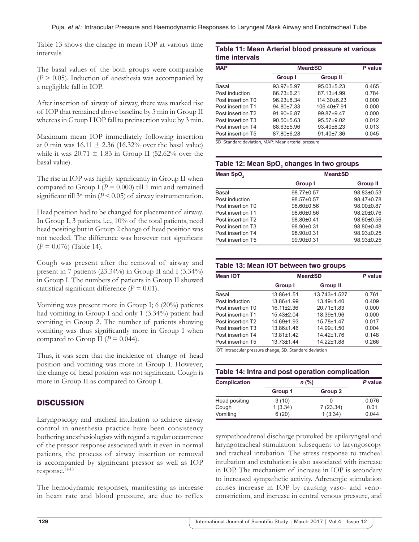Table 13 shows the change in mean IOP at various time intervals.

The basal values of the both groups were comparable  $(P > 0.05)$ . Induction of anesthesia was accompanied by a negligible fall in IOP.

After insertion of airway of airway, there was marked rise of IOP that remained above baseline by 5 min in Group II whereas in Group I IOP fall to preinsertion value by 3 min.

Maximum mean IOP immediately following insertion at 0 min was  $16.11 \pm 2.36$  (16.32% over the basal value) while it was  $20.71 \pm 1.83$  in Group II (52.62% over the basal value).

The rise in IOP was highly significantly in Group II when compared to Group I ( $P = 0.000$ ) till 1 min and remained significant till 3rd min (*P* < 0.05) of airway instrumentation.

Head position had to be changed for placement of airway. In Group I, 3 patients, i.e., 10% of the total patients, need head positing but in Group 2 change of head position was not needed. The difference was however not significant (*P* = 0.076) (Table 14).

Cough was present after the removal of airway and present in 7 patients (23.34%) in Group II and I (3.34%) in Group I. The numbers of patients in Group II showed statistical significant difference  $(P = 0.01)$ .

Vomiting was present more in Group I; 6 (20%) patients had vomiting in Group I and only 1 (3.34%) patient had vomiting in Group 2. The number of patients showing vomiting was thus significantly more in Group I when compared to Group II ( $P = 0.044$ ).

Thus, it was seen that the incidence of change of head position and vomiting was more in Group I. However, the change of head position was not significant. Cough is more in Group II as compared to Group I.

# **DISCUSSION**

Laryngoscopy and tracheal intubation to achieve airway control in anesthesia practice have been consistency bothering anesthesiologists with regard a regular occurrence of the pressor response associated with it even in normal patients, the process of airway insertion or removal is accompanied by significant pressor as well as IOP response.11-13

The hemodynamic responses, manifesting as increase in heart rate and blood pressure, are due to reflex

## **Table 11: Mean Arterial blood pressure at various time intervals**

| <b>MAP</b>        | <b>Mean±SD</b>   | P value          |       |
|-------------------|------------------|------------------|-------|
|                   | <b>Group I</b>   | <b>Group II</b>  |       |
| Basal             | 93.97±5.97       | $95.03 \pm 5.23$ | 0.465 |
| Post induction    | 86.73±6.21       | 87.13±4.99       | 0.784 |
| Post insertion T0 | $96.23 \pm 8.34$ | $114.30\pm 6.23$ | 0.000 |
| Post insertion T1 | 94.80±7.33       | 106.40±7.91      | 0.000 |
| Post insertion T2 | 91.90±6.87       | 99.87±9.47       | 0.000 |
| Post insertion T3 | $90.50 + 5.63$   | 95.57±9.02       | 0.012 |
| Post insertion T4 | 88.63±5.96       | 93.40±8.23       | 0.013 |
| Post insertion T5 | 87.80±6.28       | 91.40±7.36       | 0.045 |

SD: Standard deviation, MAP: Mean arterial pressure

# Table 12: Mean SpO<sub>2</sub> changes in two groups

| Mean SpO <sub>2</sub> |                  | <b>Mean±SD</b>   |
|-----------------------|------------------|------------------|
|                       | Group I          | <b>Group II</b>  |
| Basal                 | 98.77±0.57       | 98.83±0.53       |
| Post induction        | 98.57±0.57       | 98.47±0.78       |
| Post insertion T0     | 98.60±0.56       | 98.00±0.87       |
| Post insertion T1     | $98.60 \pm 0.56$ | $98.20 \pm 0.76$ |
| Post insertion T2     | 98.80±0.41       | 98.60±0.56       |
| Post insertion T3     | 98.90±0.31       | 98.80±0.48       |
| Post insertion T4     | 98.90±0.31       | 98.93±0.25       |
| Post insertion T5     | 99.90±0.31       | 98.93±0.25       |

## **Table 13: Mean IOT between two groups**

| <b>Mean IOT</b>               | <b>Mean±SD</b>   |                  | P value |
|-------------------------------|------------------|------------------|---------|
|                               | <b>Group I</b>   | <b>Group II</b>  |         |
| Basal                         | 13.86±1.51       | 13.743±1.527     | 0.761   |
| Post induction                | 13.86±1.99       | $13.49 \pm 1.40$ | 0.409   |
| Post insertion T0             | $16.11 \pm 2.36$ | $20.71 \pm 1.83$ | 0.000   |
| Post insertion T1             | $15.43\pm2.04$   | 18.39±1.96       | 0.000   |
| Post insertion T2             | 14.69±1.93       | 15.78±1.47       | 0.017   |
| Post insertion T <sub>3</sub> | 13.86±1.46       | 14.99±1.50       | 0.004   |
| Post insertion T4             | $13.81 \pm 1.42$ | 14.42±1.76       | 0.148   |
| Post insertion T5             | $13.73 \pm 1.44$ | 14.22±1.88       | 0.266   |

IOT: Intraocular pressure change, SD: Standard deviation

| Table 14: Intra and post operation complication |         |          |       |  |  |  |
|-------------------------------------------------|---------|----------|-------|--|--|--|
| <b>Complication</b>                             | $n$ (%) | P value  |       |  |  |  |
|                                                 | Group 1 | Group 2  |       |  |  |  |
| Head positing                                   | 3(10)   |          | 0.076 |  |  |  |
| Cough                                           | 1(3.34) | 7(23.34) | 0.01  |  |  |  |
| Vomiting                                        | 6(20)   | 1(3.34)  | 0.044 |  |  |  |

sympathoadrenal discharge provoked by epilaryngeal and laryngotracheal stimulation subsequent to laryngoscopy and tracheal intubation. The stress response to tracheal intubation and extubation is also associated with increase in IOP. The mechanism of increase in IOP is secondary to increased sympathetic activity. Adrenergic stimulation causes increase in IOP by causing vaso- and venoconstriction, and increase in central venous pressure, and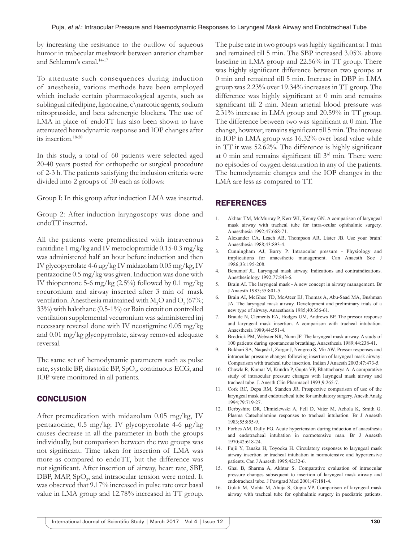by increasing the resistance to the outflow of aqueous humor in trabecular meshwork between anterior chamber and Schlemm's canal.14-17

To attenuate such consequences during induction of anesthesia, various methods have been employed which include certain pharmacological agents, such as sublingual nifedipine, lignocaine, c\narcotic agents, sodium nitroprusside, and beta adrenergic blockers. The use of LMA in place of endoTT has also been shown to have attenuated hemodynamic response and IOP changes after its insertion.18-20

In this study, a total of 60 patients were selected aged 20-40 years posted for orthopedic or surgical procedure of 2-3 h. The patients satisfying the inclusion criteria were divided into 2 groups of 30 each as follows:

Group I: In this group after induction LMA was inserted.

Group 2: After induction laryngoscopy was done and endoTT inserted.

All the patients were premedicated with intravenous ranitidine 1 mg/kg and IV metoclopramide 0.15-0.3 mg/kg was administered half an hour before induction and then IV glycopyrrolate 4-6 µg/kg IV midazolam 0.05 mg/kg, IV pentazocine 0.5 mg/kg was given. Induction was done with IV thiopentone 5-6 mg/kg  $(2.5\%)$  followed by 0.1 mg/kg rocuronium and airway inserted after 3 min of mask ventilation. Anesthesia maintained with  $M_2O$  and  $O_2(67\%;$ 33%) with halothane (0.5-1%) or Bain circuit on controlled ventilation supplemental vecuronium was administered inj necessary reversal done with IV neostigmine 0.05 mg/kg and 0.01 mg/kg glycopyrrolate, airway removed adequate reversal.

The same set of hemodynamic parameters such as pulse rate, systolic BP, diastolic BP,  $SpO<sub>2</sub>$ , continuous ECG, and IOP were monitored in all patients.

#### **CONCLUSION**

After premedication with midazolam 0.05 mg/kg, IV pentazocine, 0.5 mg/kg. IV glycopyrrolate 4-6 µg/kg causes decrease in all the parameter in both the groups individually, but comparison between the two groups was not significant. Time taken for insertion of LMA was more as compared to endoTT, but the difference was not significant. After insertion of airway, heart rate, SBP, DBP, MAP,  $SpO<sub>2</sub>$ , and intraocular tension were noted. It was observed that 9.17% increased in pulse rate over basal value in LMA group and 12.78% increased in TT group.

The pulse rate in two groups was highly significant at 1 min and remained till 5 min. The SBP increased 3.05% above baseline in LMA group and 22.56% in TT group. There was highly significant difference between two groups at 0 min and remained till 5 min. Increase in DBP in LMA group was 2.23% over 19.34% increases in TT group. The difference was highly significant at 0 min and remains significant till 2 min. Mean arterial blood pressure was 2.31% increase in LMA group and 20.59% in TT group. The difference between two was significant at 0 min. The change, however, remains significant till 5 min. The increase in IOP in LMA group was 16.32% over basal value while in TT it was 52.62%. The difference is highly significant at 0 min and remains significant till 3<sup>rd</sup> min. There were no episodes of oxygen desaturation in any of the patients. The hemodynamic changes and the IOP changes in the LMA are less as compared to TT.

## REFERENCES

- 1. Akhtar TM, McMurray P, Kerr WJ, Kenny GN. A comparison of laryngeal mask airway with tracheal tube for intra-ocular ophthalmic surgery. Anaesthesia 1992;47:668-71.
- 2. Alexander CA, Leach AB, Thompson AR, Lister JB. Use your brain! Anaesthesia 1988;43:893-4.
- 3. Cunningham AJ, Barry P. Intraocular pressure Physiology and implications for anaesthetic management. Can Anaesth Soc J 1986;33:195-208.
- 4. Benumof JL. Laryngeal mask airway. Indications and contraindications. Anesthesiology 1992;77:843-6.
- 5. Brain AI. The laryngeal mask A new concept in airway management. Br J Anaesth 1983;55:801-5.
- 6. Brain AI, McGhee TD, McAteer EJ, Thomas A, Abu-Saad MA, Bushman JA. The laryngeal mask airway. Development and preliminary trials of a new type of airway. Anaesthesia 1985;40:356-61.
- 7. Braude N, Clements EA, Hodges UM, Andrews BP. The pressor response and laryngeal mask insertion. A comparison with tracheal intubation. Anaesthesia 1989;44:551-4.
- 8. Brodrick PM, Webster NR, Nunn JF. The laryngeal mask airway. A study of 100 patients during spontaneous breathing. Anaesthesia 1989;44:238-41.
- 9. Bukhari SA, Naqash I, Zargar J, Nengroo S, Mir AW. Pressor responses and intraocular pressure changes following insertion of laryngeal mask airway: Comparison with tracheal tube insertion. Indian J Anaesth 2003;47:473-5.
- 10. Chawla R, Kumar M, Kundra P, Gupta VP, Bhattacharya A. A comparative study of intraocular pressure changes with laryngeal mask airway and tracheal tube. J. Anesth Clin Pharmacol 1993;9:265-7.
- 11. Cork RC, Depa RM, Standen JR. Prospective comparison of use of the laryngeal mask and endotracheal tube for ambulatory surgery. Anesth Analg 1994;79:719-27.
- 12. Derbyshire DR, Chmielewski A, Fell D, Vater M, Achola K, Smith G. Plasma Catecholamine responses to tracheal intubation. Br J Anaesth 1983;55:855-9.
- 13. Forbes AM, Dally FG. Acute hypertension during induction of anaesthesia and endotracheal intubation in normotensive man. Br J Anaesth 1970;42:618-24.
- 14. Fujii Y, Tanaka H, Toyooka H. Circulatory responses to laryngeal mask airway insertion or tracheal intubation in normotensive and hypertensive patients. Can J Anaesth 1995;42:32-6.
- 15. Ghai B, Sharma A, Akhtar S. Comparative evaluation of intraocular pressure changes subsequent to insertion of laryngeal mask airway and endotracheal tube. J Postgrad Med 2001;47:181-4.
- 16. Gulati M, Mohta M, Ahuja S, Gupta VP. Comparison of laryngeal mask airway with tracheal tube for ophthalmic surgery in paediatric patients.